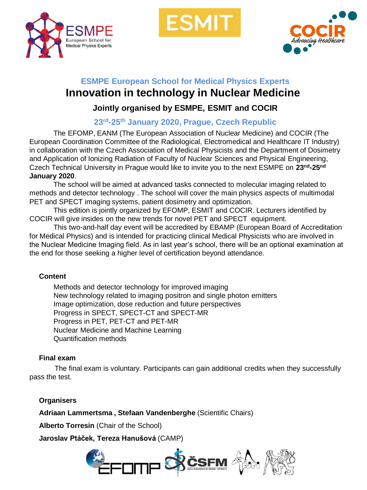

ESMI



# **ESMPE European School for Medical Physics Experts Innovation in technology in Nuclear Medicine**

### **Jointly organised by ESMPE, ESMIT and COCIR**

## **23rd-25th January 2020, Prague, Czech Republic**

The EFOMP, EANM (The European Association of Nuclear Medicine) and COCIR (The European Coordination Committee of the Radiological, Electromedical and Healthcare IT Industry) in collaboration with the Czech Association of Medical Physicists and the Department of Dosimetry and Application of Ionizing Radiation of Faculty of Nuclear Sciences and Physical Engineering, Czech Technical University in Prague would like to invite you to the next ESMPE on **23nd-25nd January 2020**.

The school will be aimed at advanced tasks connected to molecular imaging related to methods and detector technology . The school will cover the main physics aspects of multimodal PET and SPECT imaging systems, patient dosimetry and optimization.

This edition is jointly organized by EFOMP, ESMIT and COCIR. Lecturers identified by COCIR will give insides on the new trends for novel PET and SPECT equipment.

This two-and-half day event will be accredited by EBAMP (European Board of Accreditation for Medical Physics) and is intended for practicing clinical Medical Physicists who are involved in the Nuclear Medicine Imaging field. As in last year's school, there will be an optional examination at the end for those seeking a higher level of certification beyond attendance.

#### **Content**

Methods and detector technology for improved imaging New technology related to imaging positron and single photon emitters Image optimization, dose reduction and future perspectives Progress in SPECT, SPECT-CT and SPECT-MR Progress in PET, PET-CT and PET-MR Nuclear Medicine and Machine Learning Quantification methods

#### **Final exam**

The final exam is voluntary. Participants can gain additional credits when they successfully pass the test.

#### **Organisers**

**Adriaan Lammertsma , Stefaan Vandenberghe** (Scientific Chairs)

**Alberto Torresin** (Chair of the School)

**Jaroslav Ptáček, Tereza Hanušová** (CAMP)

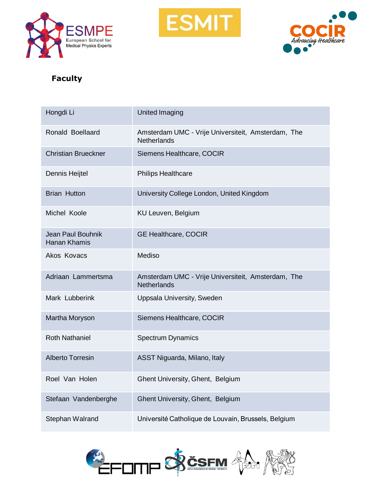





### **Faculty**

| Hongdi Li                                | United Imaging                                                           |
|------------------------------------------|--------------------------------------------------------------------------|
| Ronald Boellaard                         | Amsterdam UMC - Vrije Universiteit, Amsterdam, The<br>Netherlands        |
| <b>Christian Brueckner</b>               | Siemens Healthcare, COCIR                                                |
| Dennis Heijtel                           | <b>Philips Healthcare</b>                                                |
| <b>Brian Hutton</b>                      | University College London, United Kingdom                                |
| Michel Koole                             | KU Leuven, Belgium                                                       |
| <b>Jean Paul Bouhnik</b><br>Hanan Khamis | <b>GE Healthcare, COCIR</b>                                              |
| Akos Kovacs                              | Mediso                                                                   |
| Adriaan Lammertsma                       | Amsterdam UMC - Vrije Universiteit, Amsterdam, The<br><b>Netherlands</b> |
| Mark Lubberink                           | Uppsala University, Sweden                                               |
| Martha Moryson                           | Siemens Healthcare, COCIR                                                |
| <b>Roth Nathaniel</b>                    | <b>Spectrum Dynamics</b>                                                 |
| <b>Alberto Torresin</b>                  | ASST Niguarda, Milano, Italy                                             |
| Roel Van Holen                           | Ghent University, Ghent, Belgium                                         |
| Stefaan Vandenberghe                     | Ghent University, Ghent, Belgium                                         |
| Stephan Walrand                          | Université Catholique de Louvain, Brussels, Belgium                      |

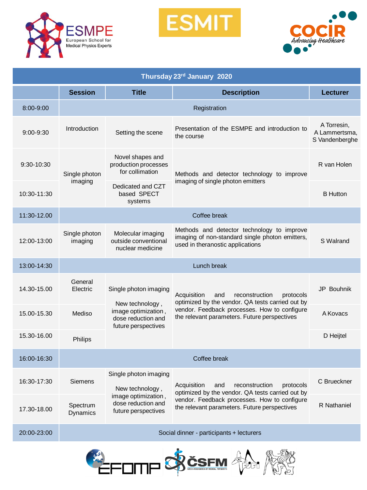

**ESMIT** 



| Thursday 23rd January 2020 |                                          |                                                                                                              |                                                                                                                                                                                                       |                                                |
|----------------------------|------------------------------------------|--------------------------------------------------------------------------------------------------------------|-------------------------------------------------------------------------------------------------------------------------------------------------------------------------------------------------------|------------------------------------------------|
|                            | <b>Session</b>                           | <b>Title</b>                                                                                                 | <b>Description</b>                                                                                                                                                                                    | <b>Lecturer</b>                                |
| $8:00 - 9:00$              | Registration                             |                                                                                                              |                                                                                                                                                                                                       |                                                |
| $9:00 - 9:30$              | Introduction                             | Setting the scene                                                                                            | Presentation of the ESMPE and introduction to<br>the course                                                                                                                                           | A Torresin,<br>A Lammertsma,<br>S Vandenberghe |
| $9:30 - 10:30$             | Single photon<br>imaging                 | Novel shapes and<br>production processes<br>for collimation                                                  | Methods and detector technology to improve<br>imaging of single photon emitters                                                                                                                       | R van Holen                                    |
| 10:30-11:30                |                                          | Dedicated and CZT<br>based SPECT<br>systems                                                                  |                                                                                                                                                                                                       | <b>B</b> Hutton                                |
| 11:30-12.00                | Coffee break                             |                                                                                                              |                                                                                                                                                                                                       |                                                |
| 12:00-13:00                | Single photon<br>imaging                 | Molecular imaging<br>outside conventional<br>nuclear medicine                                                | Methods and detector technology to improve<br>imaging of non-standard single photon emitters,<br>used in theranostic applications                                                                     | S Walrand                                      |
| 13:00-14:30                | Lunch break                              |                                                                                                              |                                                                                                                                                                                                       |                                                |
| 14.30-15.00                | General<br>Electric                      | Single photon imaging<br>New technology,<br>image optimization,<br>dose reduction and<br>future perspectives | Acquisition<br>and<br>reconstruction<br>protocols<br>optimized by the vendor. QA tests carried out by<br>vendor. Feedback processes. How to configure<br>the relevant parameters. Future perspectives | <b>JP Bouhnik</b>                              |
| 15.00-15.30                | Mediso                                   |                                                                                                              |                                                                                                                                                                                                       | A Kovacs                                       |
| 15.30-16.00                | Philips                                  |                                                                                                              |                                                                                                                                                                                                       | D Heijtel                                      |
| 16:00-16:30                | Coffee break                             |                                                                                                              |                                                                                                                                                                                                       |                                                |
| 16:30-17:30                | <b>Siemens</b>                           | Single photon imaging<br>New technology,<br>image optimization,<br>dose reduction and<br>future perspectives | reconstruction<br>protocols<br>Acquisition<br>and<br>optimized by the vendor. QA tests carried out by<br>vendor. Feedback processes. How to configure<br>the relevant parameters. Future perspectives | C Brueckner                                    |
| 17.30-18.00                | Spectrum<br><b>Dynamics</b>              |                                                                                                              |                                                                                                                                                                                                       | R Nathaniel                                    |
| 20:00-23:00                | Social dinner - participants + lecturers |                                                                                                              |                                                                                                                                                                                                       |                                                |

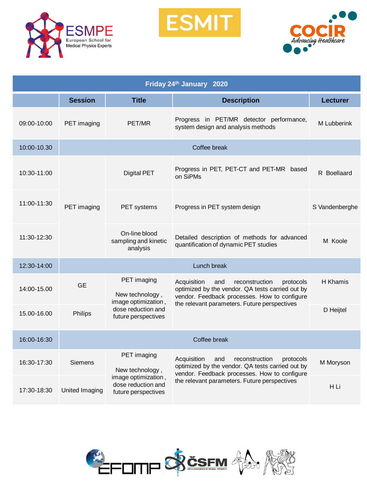

**ESMIT** 



| Friday 24th January 2020 |                |                                                                                                    |                                                                                                                                                                                                       |                 |
|--------------------------|----------------|----------------------------------------------------------------------------------------------------|-------------------------------------------------------------------------------------------------------------------------------------------------------------------------------------------------------|-----------------|
|                          | <b>Session</b> | <b>Title</b>                                                                                       | <b>Description</b>                                                                                                                                                                                    | <b>Lecturer</b> |
| 09:00-10:00              | PET imaging    | PET/MR                                                                                             | Progress in PET/MR detector performance,<br>system design and analysis methods                                                                                                                        | M Lubberink     |
| 10:00-10.30              | Coffee break   |                                                                                                    |                                                                                                                                                                                                       |                 |
| 10:30-11:00              | PET imaging    | <b>Digital PET</b>                                                                                 | Progress in PET, PET-CT and PET-MR based<br>on SiPMs                                                                                                                                                  | R Boellaard     |
| 11:00-11:30              |                | PET systems                                                                                        | Progress in PET system design                                                                                                                                                                         | S Vandenberghe  |
| 11:30-12:30              |                | On-line blood<br>sampling and kinetic<br>analysis                                                  | Detailed description of methods for advanced<br>quantification of dynamic PET studies                                                                                                                 | M Koole         |
| 12:30-14:00              | Lunch break    |                                                                                                    |                                                                                                                                                                                                       |                 |
| 14:00-15.00              | <b>GE</b>      | PET imaging<br>New technology,<br>image optimization,                                              | Acquisition<br>reconstruction<br>protocols<br>and<br>optimized by the vendor. QA tests carried out by<br>vendor. Feedback processes. How to configure<br>the relevant parameters. Future perspectives | H Khamis        |
| 15.00-16.00              | Philips        | dose reduction and<br>future perspectives                                                          |                                                                                                                                                                                                       | D Heijtel       |
| 16:00-16:30              |                |                                                                                                    | Coffee break                                                                                                                                                                                          |                 |
| 16:30-17:30              | Siemens        | PET imaging<br>New technology,<br>image optimization,<br>dose reduction and<br>future perspectives | Acquisition<br>reconstruction<br>and<br>protocols<br>optimized by the vendor. QA tests carried out by<br>vendor. Feedback processes. How to configure<br>the relevant parameters. Future perspectives | M Moryson       |
| 17:30-18:30              | United Imaging |                                                                                                    |                                                                                                                                                                                                       | H Li            |

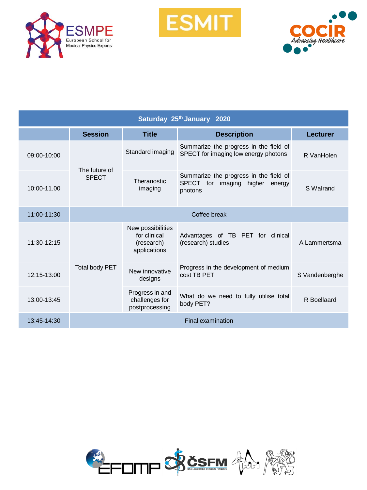

**ESMIT** 



| Saturday 25th January 2020 |                               |                                                                 |                                                                                                      |                |
|----------------------------|-------------------------------|-----------------------------------------------------------------|------------------------------------------------------------------------------------------------------|----------------|
|                            | <b>Session</b>                | <b>Title</b>                                                    | <b>Description</b>                                                                                   | Lecturer       |
| 09:00-10:00                | The future of<br><b>SPECT</b> | Standard imaging                                                | Summarize the progress in the field of<br>SPECT for imaging low energy photons                       | R VanHolen     |
| 10:00-11.00                |                               | Theranostic<br>imaging                                          | Summarize the progress in the field of<br><b>SPECT</b><br>for imaging<br>higher<br>energy<br>photons | S Walrand      |
| 11:00-11:30                | Coffee break                  |                                                                 |                                                                                                      |                |
| 11:30-12:15                | Total body PET                | New possibilities<br>for clinical<br>(research)<br>applications | Advantages of TB PET for clinical<br>(research) studies                                              | A Lammertsma   |
| 12:15-13:00                |                               | New innovative<br>designs                                       | Progress in the development of medium<br>cost TB PET                                                 | S Vandenberghe |
| 13:00-13:45                |                               | Progress in and<br>challenges for<br>postprocessing             | What do we need to fully utilise total<br>body PET?                                                  | R Boellaard    |
| 13:45-14:30                |                               |                                                                 | Final examination                                                                                    |                |